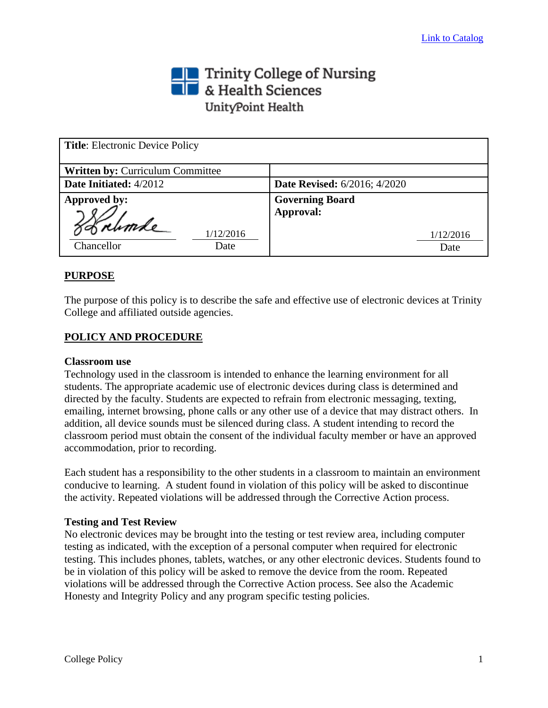# Trinity College of Nursing<br>THE & Health Sciences UnityPoint Health

| <b>Title:</b> Electronic Device Policy |                                     |
|----------------------------------------|-------------------------------------|
| Written by: Curriculum Committee       |                                     |
| Date Initiated: 4/2012                 | <b>Date Revised:</b> 6/2016; 4/2020 |
| Approved by:                           | <b>Governing Board</b>              |
|                                        | Approval:                           |
| Sobrumle<br>1/12/2016                  | 1/12/2016                           |
| Chancellor<br>Date                     | Date                                |

## **PURPOSE**

The purpose of this policy is to describe the safe and effective use of electronic devices at Trinity College and affiliated outside agencies.

## **POLICY AND PROCEDURE**

#### **Classroom use**

Technology used in the classroom is intended to enhance the learning environment for all students. The appropriate academic use of electronic devices during class is determined and directed by the faculty. Students are expected to refrain from electronic messaging, texting, emailing, internet browsing, phone calls or any other use of a device that may distract others. In addition, all device sounds must be silenced during class. A student intending to record the classroom period must obtain the consent of the individual faculty member or have an approved accommodation, prior to recording.

Each student has a responsibility to the other students in a classroom to maintain an environment conducive to learning. A student found in violation of this policy will be asked to discontinue the activity. Repeated violations will be addressed through the Corrective Action process.

#### **Testing and Test Review**

No electronic devices may be brought into the testing or test review area, including computer testing as indicated, with the exception of a personal computer when required for electronic testing. This includes phones, tablets, watches, or any other electronic devices. Students found to be in violation of this policy will be asked to remove the device from the room. Repeated violations will be addressed through the Corrective Action process. See also the Academic Honesty and Integrity Policy and any program specific testing policies.